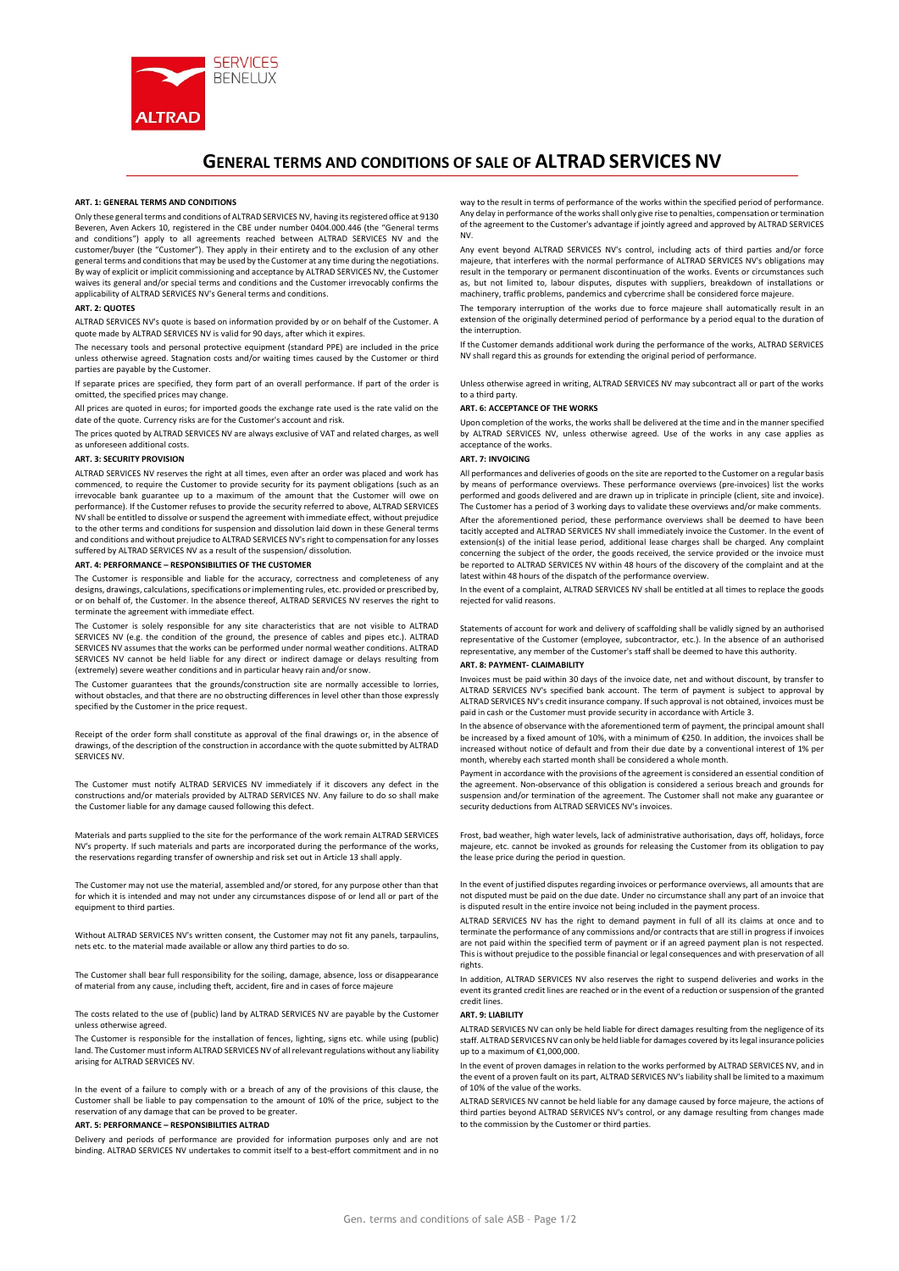

# GENERAL TERMS AND CONDITIONS OF SALE OF ALTRAD SERVICES NV

#### ART. 1: GENERAL TERMS AND CONDITIONS

Only these general terms and conditions of ALTRAD SERVICES NV, having its registered office at 9130 Beveren, Aven Ackers 10, registered in the CBE under number 0404.000.446 (the "General terms and conditions") apply to all agreements reached between ALTRAD SERVICES NV and the customer/buyer (the "Customer"). They apply in their entirety and to the exclusion of any other general terms and conditions that may be used by the Customer at any time during the negotiations. By way of explicit or implicit commissioning and acceptance by ALTRAD SERVICES NV, the Customer waives its general and/or special terms and conditions and the Customer irrevocably confirms the applicability of ALTRAD SERVICES NV's General terms and conditions.

## ART. 2: QUOTES

ALTRAD SERVICES NV's quote is based on information provided by or on behalf of the Customer. A quote made by ALTRAD SERVICES NV is valid for 90 days, after which it expires.

The necessary tools and personal protective equipment (standard PPE) are included in the price unless otherwise agreed. Stagnation costs and/or waiting times caused by the Customer or third parties are payable by the Customer.

If separate prices are specified, they form part of an overall performance. If part of the order is omitted, the specified prices may change.

All prices are quoted in euros; for imported goods the exchange rate used is the rate valid on the date of the quote. Currency risks are for the Customer's account and risk.

The prices quoted by ALTRAD SERVICES NV are always exclusive of VAT and related charges, as well as unforeseen additional costs.

### ART. 3: SECURITY PROVISION

ALTRAD SERVICES NV reserves the right at all times, even after an order was placed and work has commenced, to require the Customer to provide security for its payment obligations (such as an irrevocable bank guarantee up to a maximum of the amount that the Customer will owe on performance). If the Customer refuses to provide the security referred to above, ALTRAD SERVICES NV shall be entitled to dissolve or suspend the agreement with immediate effect, without prejudice to the other terms and conditions for suspension and dissolution laid down in these General terms and conditions and without prejudice to ALTRAD SERVICES NV's right to compensation for any losses suffered by ALTRAD SERVICES NV as a result of the suspension/ dissolution.

#### ART. 4: PERFORMANCE – RESPONSIBILITIES OF THE CUSTOMER

The Customer is responsible and liable for the accuracy, correctness and completeness of any designs, drawings, calculations, specifications or implementing rules, etc. provided or prescribed by, or on behalf of, the Customer. In the absence thereof, ALTRAD SERVICES NV reserves the right to terminate the agreement with immediate effect.

The Customer is solely responsible for any site characteristics that are not visible to ALTRAD SERVICES NV (e.g. the condition of the ground, the presence of cables and pipes etc.). ALTRAD SERVICES NV assumes that the works can be performed under normal weather conditions. ALTRAD SERVICES NV cannot be held liable for any direct or indirect damage or delays resulting from (extremely) severe weather conditions and in particular heavy rain and/or snow.

The Customer guarantees that the grounds/construction site are normally accessible to lorries, without obstacles, and that there are no obstructing differences in level other than those expressly specified by the Customer in the price request.

Receipt of the order form shall constitute as approval of the final drawings or, in the absence of drawings, of the description of the construction in accordance with the quote submitted by ALTRAD SERVICES NV.

The Customer must notify ALTRAD SERVICES NV immediately if it discovers any defect in the constructions and/or materials provided by ALTRAD SERVICES NV. Any failure to do so shall make the Customer liable for any damage caused following this defect.

Materials and parts supplied to the site for the performance of the work remain ALTRAD SERVICES NV's property. If such materials and parts are incorporated during the performance of the works, the reservations regarding transfer of ownership and risk set out in Article 13 shall apply.

The Customer may not use the material, assembled and/or stored, for any purpose other than that for which it is intended and may not under any circumstances dispose of or lend all or part of the equipment to third parties.

Without ALTRAD SERVICES NV's written consent, the Customer may not fit any panels, tarpaulins, nets etc. to the material made available or allow any third parties to do so.

The Customer shall bear full responsibility for the soiling, damage, absence, loss or disappearance of material from any cause, including theft, accident, fire and in cases of force majeure

The costs related to the use of (public) land by ALTRAD SERVICES NV are payable by the Customer unless otherwise agreed.

The Customer is responsible for the installation of fences, lighting, signs etc. while using (public) land. The Customer must inform ALTRAD SERVICES NV of all relevant regulations without any liability arising for ALTRAD SERVICES NV.

In the event of a failure to comply with or a breach of any of the provisions of this clause, the Customer shall be liable to pay compensation to the amount of 10% of the price, subject to the reservation of any damage that can be proved to be greater.

# ART. 5: PERFORMANCE – RESPONSIBILITIES ALTRAD

Delivery and periods of performance are provided for information purposes only and are not binding. ALTRAD SERVICES NV undertakes to commit itself to a best-effort commitment and in no

way to the result in terms of performance of the works within the specified period of performance. Any delay in performance of the works shall only give rise to penalties, compensation or termination of the agreement to the Customer's advantage if jointly agreed and approved by ALTRAD SERVICES NV.

Any event beyond ALTRAD SERVICES NV's control, including acts of third parties and/or force majeure, that interferes with the normal performance of ALTRAD SERVICES NV's obligations may result in the temporary or permanent discontinuation of the works. Events or circumstances such as, but not limited to, labour disputes, disputes with suppliers, breakdown of installations or machinery, traffic problems, pandemics and cybercrime shall be considered force majeure.

The temporary interruption of the works due to force majeure shall automatically result in an extension of the originally determined period of performance by a period equal to the duration of the interruption.

If the Customer demands additional work during the performance of the works, ALTRAD SERVICES NV shall regard this as grounds for extending the original period of performance.

Unless otherwise agreed in writing, ALTRAD SERVICES NV may subcontract all or part of the works to a third party.

#### ART. 6: ACCEPTANCE OF THE WORKS

Upon completion of the works, the works shall be delivered at the time and in the manner specified by ALTRAD SERVICES NV, unless otherwise agreed. Use of the works in any case applies as acceptance of the works.

## ART. 7: INVOICING

All performances and deliveries of goods on the site are reported to the Customer on a regular basis by means of performance overviews. These performance overviews (pre-invoices) list the works performed and goods delivered and are drawn up in triplicate in principle (client, site and invoice). The Customer has a period of 3 working days to validate these overviews and/or make comments. After the aforementioned period, these performance overviews shall be deemed to have been

tacitly accepted and ALTRAD SERVICES NV shall immediately invoice the Customer. In the event of extension(s) of the initial lease period, additional lease charges shall be charged. Any complaint concerning the subject of the order, the goods received, the service provided or the invoice must be reported to ALTRAD SERVICES NV within 48 hours of the discovery of the complaint and at the latest within 48 hours of the dispatch of the performance overview.

In the event of a complaint, ALTRAD SERVICES NV shall be entitled at all times to replace the goods rejected for valid reasons.

Statements of account for work and delivery of scaffolding shall be validly signed by an authorised representative of the Customer (employee, subcontractor, etc.). In the absence of an authorised representative, any member of the Customer's staff shall be deemed to have this authority.

## ART. 8: PAYMENT- CLAIMABILITY

Invoices must be paid within 30 days of the invoice date, net and without discount, by transfer to ALTRAD SERVICES NV's specified bank account. The term of payment is subject to approval by ALTRAD SERVICES NV's credit insurance company. If such approval is not obtained, invoices must be paid in cash or the Customer must provide security in accordance with Article 3.

In the absence of observance with the aforementioned term of payment, the principal amount shall be increased by a fixed amount of 10%, with a minimum of €250. In addition, the invoices shall be increased without notice of default and from their due date by a conventional interest of 1% per month, whereby each started month shall be considered a whole month.

Payment in accordance with the provisions of the agreement is considered an essential condition of the agreement. Non-observance of this obligation is considered a serious breach and grounds for suspension and/or termination of the agreement. The Customer shall not make any guarantee or security deductions from ALTRAD SERVICES NV's invoices.

Frost, bad weather, high water levels, lack of administrative authorisation, days off, holidays, force majeure, etc. cannot be invoked as grounds for releasing the Customer from its obligation to pay the lease price during the period in question.

In the event of justified disputes regarding invoices or performance overviews, all amounts that are not disputed must be paid on the due date. Under no circumstance shall any part of an invoice that is disputed result in the entire invoice not being included in the payment process.

ALTRAD SERVICES NV has the right to demand payment in full of all its claims at once and to terminate the performance of any commissions and/or contracts that are still in progress if invoices are not paid within the specified term of payment or if an agreed payment plan is not respected. This is without prejudice to the possible financial or legal consequences and with preservation of all rights.

In addition, ALTRAD SERVICES NV also reserves the right to suspend deliveries and works in the event its granted credit lines are reached or in the event of a reduction or suspension of the granted credit lines.

## ART. 9: LIABILITY

ALTRAD SERVICES NV can only be held liable for direct damages resulting from the negligence of its staff. ALTRAD SERVICES NV can only be held liable for damages covered by its legal insurance policies up to a maximum of €1,000,000.

In the event of proven damages in relation to the works performed by ALTRAD SERVICES NV, and in the event of a proven fault on its part, ALTRAD SERVICES NV's liability shall be limited to a maximum of 10% of the value of the works.

ALTRAD SERVICES NV cannot be held liable for any damage caused by force majeure, the actions of third parties beyond ALTRAD SERVICES NV's control, or any damage resulting from changes made to the commission by the Customer or third parties.